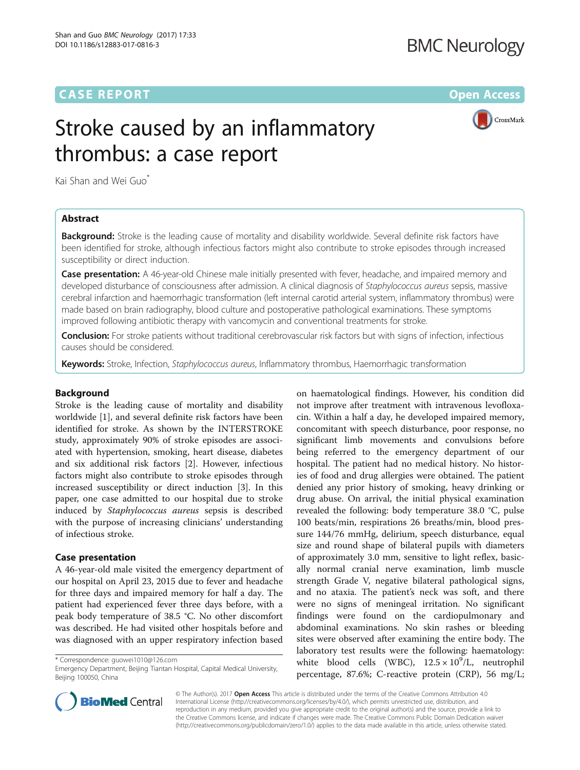## **CASE REPORT CASE REPORT CASE REPORT**

CrossMark

# Stroke caused by an inflammatory thrombus: a case report

Kai Shan and Wei Guo<sup>\*</sup>

## Abstract

**Background:** Stroke is the leading cause of mortality and disability worldwide. Several definite risk factors have been identified for stroke, although infectious factors might also contribute to stroke episodes through increased susceptibility or direct induction.

**Case presentation:** A 46-year-old Chinese male initially presented with fever, headache, and impaired memory and developed disturbance of consciousness after admission. A clinical diagnosis of Staphylococcus aureus sepsis, massive cerebral infarction and haemorrhagic transformation (left internal carotid arterial system, inflammatory thrombus) were made based on brain radiography, blood culture and postoperative pathological examinations. These symptoms improved following antibiotic therapy with vancomycin and conventional treatments for stroke.

Conclusion: For stroke patients without traditional cerebrovascular risk factors but with signs of infection, infectious causes should be considered.

Keywords: Stroke, Infection, Staphylococcus aureus, Inflammatory thrombus, Haemorrhagic transformation

### Background

Stroke is the leading cause of mortality and disability worldwide [\[1](#page-4-0)], and several definite risk factors have been identified for stroke. As shown by the INTERSTROKE study, approximately 90% of stroke episodes are associated with hypertension, smoking, heart disease, diabetes and six additional risk factors [[2\]](#page-4-0). However, infectious factors might also contribute to stroke episodes through increased susceptibility or direct induction [\[3\]](#page-4-0). In this paper, one case admitted to our hospital due to stroke induced by Staphylococcus aureus sepsis is described with the purpose of increasing clinicians' understanding of infectious stroke.

#### Case presentation

A 46-year-old male visited the emergency department of our hospital on April 23, 2015 due to fever and headache for three days and impaired memory for half a day. The patient had experienced fever three days before, with a peak body temperature of 38.5 °C. No other discomfort was described. He had visited other hospitals before and was diagnosed with an upper respiratory infection based

\* Correspondence: [guowei1010@126.com](mailto:guowei1010@126.com)

on haematological findings. However, his condition did not improve after treatment with intravenous levofloxacin. Within a half a day, he developed impaired memory, concomitant with speech disturbance, poor response, no significant limb movements and convulsions before being referred to the emergency department of our hospital. The patient had no medical history. No histories of food and drug allergies were obtained. The patient denied any prior history of smoking, heavy drinking or drug abuse. On arrival, the initial physical examination revealed the following: body temperature 38.0 °C, pulse 100 beats/min, respirations 26 breaths/min, blood pressure 144/76 mmHg, delirium, speech disturbance, equal size and round shape of bilateral pupils with diameters of approximately 3.0 mm, sensitive to light reflex, basically normal cranial nerve examination, limb muscle strength Grade V, negative bilateral pathological signs, and no ataxia. The patient's neck was soft, and there were no signs of meningeal irritation. No significant findings were found on the cardiopulmonary and abdominal examinations. No skin rashes or bleeding sites were observed after examining the entire body. The laboratory test results were the following: haematology: white blood cells (WBC),  $12.5 \times 10^9$ /L, neutrophil percentage, 87.6%; C-reactive protein (CRP), 56 mg/L;



© The Author(s). 2017 **Open Access** This article is distributed under the terms of the Creative Commons Attribution 4.0 International License [\(http://creativecommons.org/licenses/by/4.0/](http://creativecommons.org/licenses/by/4.0/)), which permits unrestricted use, distribution, and reproduction in any medium, provided you give appropriate credit to the original author(s) and the source, provide a link to the Creative Commons license, and indicate if changes were made. The Creative Commons Public Domain Dedication waiver [\(http://creativecommons.org/publicdomain/zero/1.0/](http://creativecommons.org/publicdomain/zero/1.0/)) applies to the data made available in this article, unless otherwise stated.

Emergency Department, Beijing Tiantan Hospital, Capital Medical University, Beijing 100050, China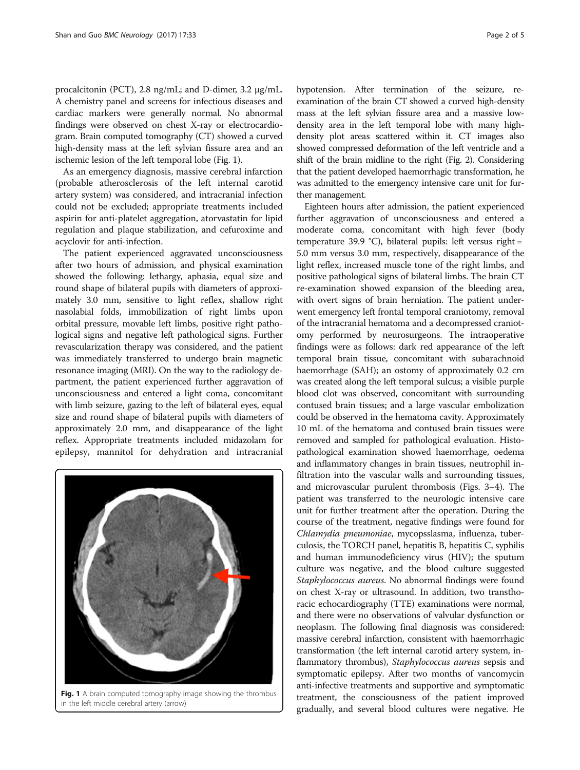procalcitonin (PCT), 2.8 ng/mL; and D-dimer, 3.2 μg/mL. A chemistry panel and screens for infectious diseases and cardiac markers were generally normal. No abnormal findings were observed on chest X-ray or electrocardiogram. Brain computed tomography (CT) showed a curved high-density mass at the left sylvian fissure area and an ischemic lesion of the left temporal lobe (Fig. 1).

As an emergency diagnosis, massive cerebral infarction (probable atherosclerosis of the left internal carotid artery system) was considered, and intracranial infection could not be excluded; appropriate treatments included aspirin for anti-platelet aggregation, atorvastatin for lipid regulation and plaque stabilization, and cefuroxime and acyclovir for anti-infection.

The patient experienced aggravated unconsciousness after two hours of admission, and physical examination showed the following: lethargy, aphasia, equal size and round shape of bilateral pupils with diameters of approximately 3.0 mm, sensitive to light reflex, shallow right nasolabial folds, immobilization of right limbs upon orbital pressure, movable left limbs, positive right pathological signs and negative left pathological signs. Further revascularization therapy was considered, and the patient was immediately transferred to undergo brain magnetic resonance imaging (MRI). On the way to the radiology department, the patient experienced further aggravation of unconsciousness and entered a light coma, concomitant with limb seizure, gazing to the left of bilateral eyes, equal size and round shape of bilateral pupils with diameters of approximately 2.0 mm, and disappearance of the light reflex. Appropriate treatments included midazolam for epilepsy, mannitol for dehydration and intracranial



Fig. 1 A brain computed tomography image showing the thrombus in the left middle cerebral artery (arrow)

hypotension. After termination of the seizure, reexamination of the brain CT showed a curved high-density mass at the left sylvian fissure area and a massive lowdensity area in the left temporal lobe with many highdensity plot areas scattered within it. CT images also showed compressed deformation of the left ventricle and a shift of the brain midline to the right (Fig. [2\)](#page-2-0). Considering that the patient developed haemorrhagic transformation, he was admitted to the emergency intensive care unit for further management.

Eighteen hours after admission, the patient experienced further aggravation of unconsciousness and entered a moderate coma, concomitant with high fever (body temperature 39.9 °C), bilateral pupils: left versus right = 5.0 mm versus 3.0 mm, respectively, disappearance of the light reflex, increased muscle tone of the right limbs, and positive pathological signs of bilateral limbs. The brain CT re-examination showed expansion of the bleeding area, with overt signs of brain herniation. The patient underwent emergency left frontal temporal craniotomy, removal of the intracranial hematoma and a decompressed craniotomy performed by neurosurgeons. The intraoperative findings were as follows: dark red appearance of the left temporal brain tissue, concomitant with subarachnoid haemorrhage (SAH); an ostomy of approximately 0.2 cm was created along the left temporal sulcus; a visible purple blood clot was observed, concomitant with surrounding contused brain tissues; and a large vascular embolization could be observed in the hematoma cavity. Approximately 10 mL of the hematoma and contused brain tissues were removed and sampled for pathological evaluation. Histopathological examination showed haemorrhage, oedema and inflammatory changes in brain tissues, neutrophil infiltration into the vascular walls and surrounding tissues, and microvascular purulent thrombosis (Figs. [3](#page-3-0)–[4](#page-3-0)). The patient was transferred to the neurologic intensive care unit for further treatment after the operation. During the course of the treatment, negative findings were found for Chlamydia pneumoniae, mycopsslasma, influenza, tuberculosis, the TORCH panel, hepatitis B, hepatitis C, syphilis and human immunodeficiency virus (HIV); the sputum culture was negative, and the blood culture suggested Staphylococcus aureus. No abnormal findings were found on chest X-ray or ultrasound. In addition, two transthoracic echocardiography (TTE) examinations were normal, and there were no observations of valvular dysfunction or neoplasm. The following final diagnosis was considered: massive cerebral infarction, consistent with haemorrhagic transformation (the left internal carotid artery system, inflammatory thrombus), Staphylococcus aureus sepsis and symptomatic epilepsy. After two months of vancomycin anti-infective treatments and supportive and symptomatic treatment, the consciousness of the patient improved gradually, and several blood cultures were negative. He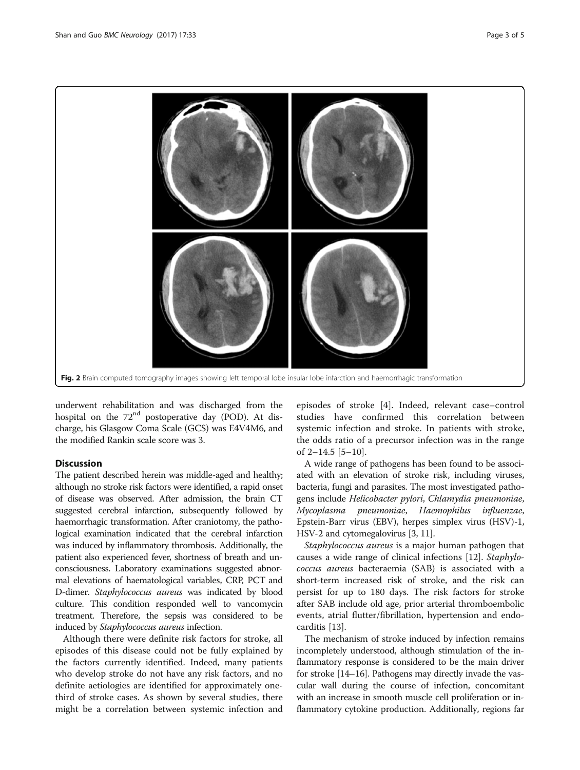<span id="page-2-0"></span>

underwent rehabilitation and was discharged from the hospital on the  $72<sup>nd</sup>$  postoperative day (POD). At discharge, his Glasgow Coma Scale (GCS) was E4V4M6, and the modified Rankin scale score was 3.

## Discussion

The patient described herein was middle-aged and healthy; although no stroke risk factors were identified, a rapid onset of disease was observed. After admission, the brain CT suggested cerebral infarction, subsequently followed by haemorrhagic transformation. After craniotomy, the pathological examination indicated that the cerebral infarction was induced by inflammatory thrombosis. Additionally, the patient also experienced fever, shortness of breath and unconsciousness. Laboratory examinations suggested abnormal elevations of haematological variables, CRP, PCT and D-dimer. Staphylococcus aureus was indicated by blood culture. This condition responded well to vancomycin treatment. Therefore, the sepsis was considered to be induced by Staphylococcus aureus infection.

Although there were definite risk factors for stroke, all episodes of this disease could not be fully explained by the factors currently identified. Indeed, many patients who develop stroke do not have any risk factors, and no definite aetiologies are identified for approximately onethird of stroke cases. As shown by several studies, there might be a correlation between systemic infection and

episodes of stroke [[4\]](#page-4-0). Indeed, relevant case–control studies have confirmed this correlation between systemic infection and stroke. In patients with stroke, the odds ratio of a precursor infection was in the range of 2–14.5 [\[5](#page-4-0)–[10](#page-4-0)].

A wide range of pathogens has been found to be associated with an elevation of stroke risk, including viruses, bacteria, fungi and parasites. The most investigated pathogens include Helicobacter pylori, Chlamydia pneumoniae, Mycoplasma pneumoniae, Haemophilus influenzae, Epstein-Barr virus (EBV), herpes simplex virus (HSV)-1, HSV-2 and cytomegalovirus [\[3](#page-4-0), [11\]](#page-4-0).

Staphylococcus aureus is a major human pathogen that causes a wide range of clinical infections [\[12](#page-4-0)]. Staphylococcus aureus bacteraemia (SAB) is associated with a short-term increased risk of stroke, and the risk can persist for up to 180 days. The risk factors for stroke after SAB include old age, prior arterial thromboembolic events, atrial flutter/fibrillation, hypertension and endocarditis [[13](#page-4-0)].

The mechanism of stroke induced by infection remains incompletely understood, although stimulation of the inflammatory response is considered to be the main driver for stroke [\[14](#page-4-0)–[16](#page-4-0)]. Pathogens may directly invade the vascular wall during the course of infection, concomitant with an increase in smooth muscle cell proliferation or inflammatory cytokine production. Additionally, regions far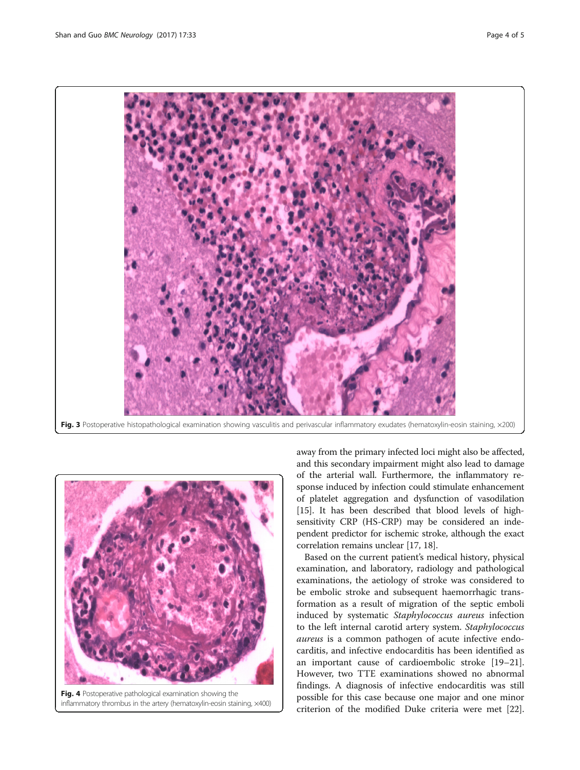<span id="page-3-0"></span>





Fig. 4 Postoperative pathological examination showing the inflammatory thrombus in the artery (hematoxylin-eosin staining, ×400)

away from the primary infected loci might also be affected, and this secondary impairment might also lead to damage of the arterial wall. Furthermore, the inflammatory response induced by infection could stimulate enhancement of platelet aggregation and dysfunction of vasodilation [[15](#page-4-0)]. It has been described that blood levels of highsensitivity CRP (HS-CRP) may be considered an independent predictor for ischemic stroke, although the exact correlation remains unclear [[17](#page-4-0), [18\]](#page-4-0).

Based on the current patient's medical history, physical examination, and laboratory, radiology and pathological examinations, the aetiology of stroke was considered to be embolic stroke and subsequent haemorrhagic transformation as a result of migration of the septic emboli induced by systematic Staphylococcus aureus infection to the left internal carotid artery system. Staphylococcus aureus is a common pathogen of acute infective endocarditis, and infective endocarditis has been identified as an important cause of cardioembolic stroke [[19](#page-4-0)–[21](#page-4-0)]. However, two TTE examinations showed no abnormal findings. A diagnosis of infective endocarditis was still possible for this case because one major and one minor criterion of the modified Duke criteria were met [\[22](#page-4-0)].